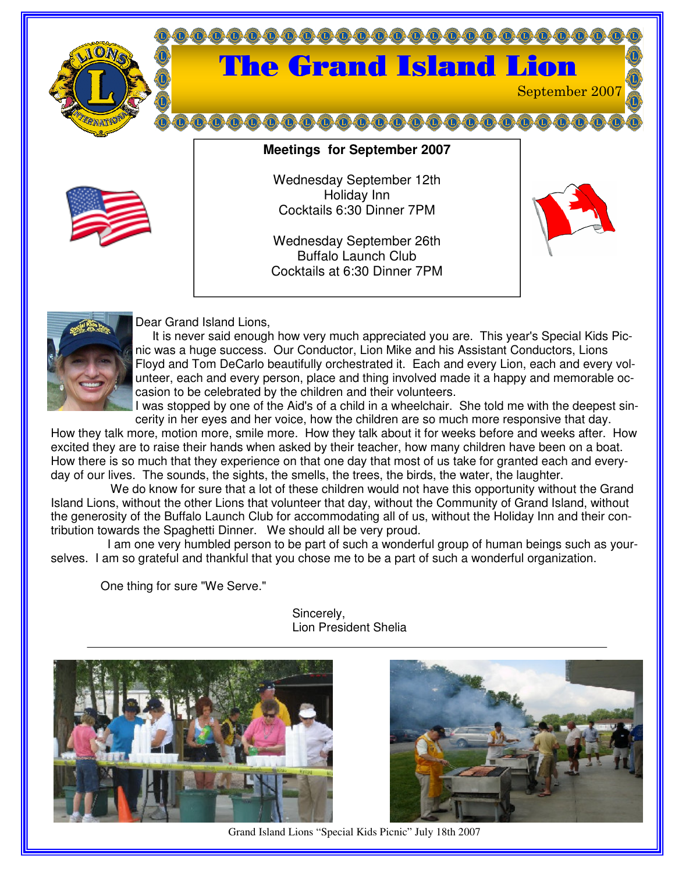

# $(0, 0, 0, 0, 0, 0, 0, 0, 0, 0, 0, 0)$ The Grand Island Lion



**Meetings for September 2007**

Wednesday September 12th Holiday Inn Cocktails 6:30 Dinner 7PM

Wednesday September 26th Buffalo Launch Club Cocktails at 6:30 Dinner 7PM



September 2007



### Dear Grand Island Lions,

It is never said enough how very much appreciated you are. This year's Special Kids Picnic was a huge success. Our Conductor, Lion Mike and his Assistant Conductors, Lions Floyd and Tom DeCarlo beautifully orchestrated it. Each and every Lion, each and every volunteer, each and every person, place and thing involved made it a happy and memorable occasion to be celebrated by the children and their volunteers.

I was stopped by one of the Aid's of a child in a wheelchair. She told me with the deepest sincerity in her eyes and her voice, how the children are so much more responsive that day.

How they talk more, motion more, smile more. How they talk about it for weeks before and weeks after. How excited they are to raise their hands when asked by their teacher, how many children have been on a boat. How there is so much that they experience on that one day that most of us take for granted each and everyday of our lives. The sounds, the sights, the smells, the trees, the birds, the water, the laughter.

We do know for sure that a lot of these children would not have this opportunity without the Grand Island Lions, without the other Lions that volunteer that day, without the Community of Grand Island, without the generosity of the Buffalo Launch Club for accommodating all of us, without the Holiday Inn and their contribution towards the Spaghetti Dinner. We should all be very proud.

I am one very humbled person to be part of such a wonderful group of human beings such as yourselves. I am so grateful and thankful that you chose me to be a part of such a wonderful organization.

One thing for sure "We Serve."



#### Sincerely, Lion President Shelia



Grand Island Lions "Special Kids Picnic" July 18th 2007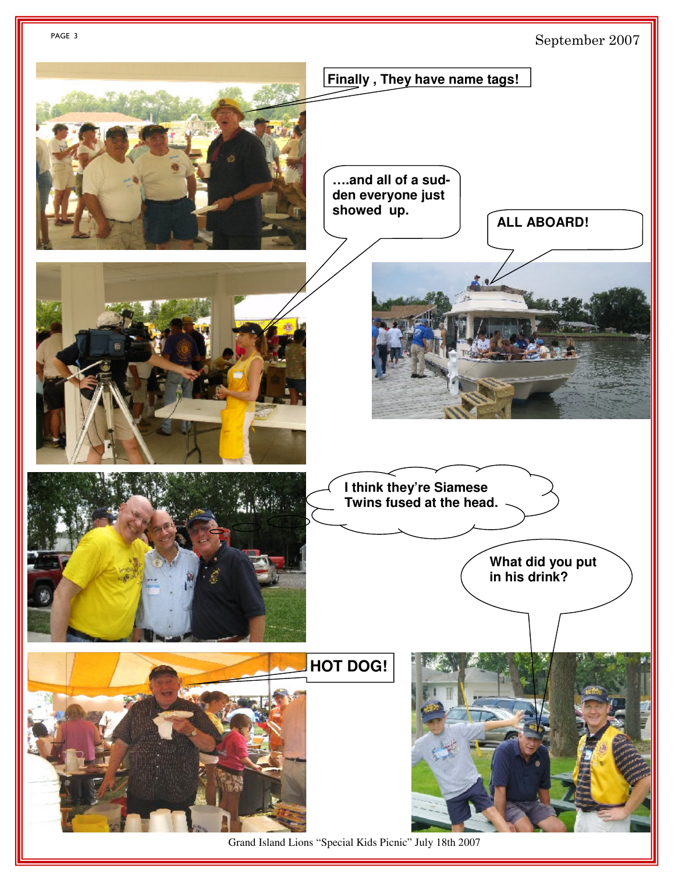

Grand Island Lions "Special Kids Picnic" July 18th 2007